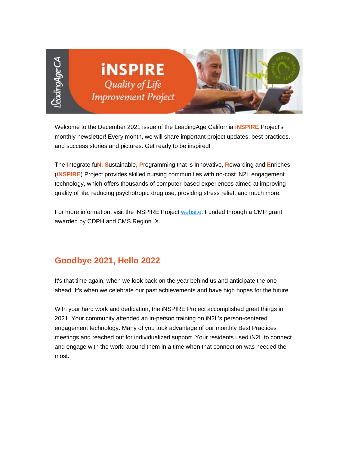

Welcome to the December 2021 issue of the LeadingAge California **iNSPIRE** Project's monthly newsletter! Every month, we will share important project updates, best practices, and success stories and pictures. Get ready to be inspired!

The **I**ntegrate fu**N**, **S**ustainable, **P**rogramming that is **I**nnovative, **R**ewarding and **E**nriches (**iNSPIRE**) Project provides skilled nursing communities with no-cost iN2L engagement technology, which offers thousands of computer-based experiences aimed at improving quality of life, reducing psychotropic drug use, providing stress relief, and much more.

For more information, visit the iNSPIRE Project [website.](https://nam11.safelinks.protection.outlook.com/?url=https%3A%2F%2Fu6486279.ct.sendgrid.net%2Fls%2Fclick%3Fupn%3DhxRT-2BaJEwPX7D4KE9buaoAg5Brfv2cN8A5e1JC-2BqxYPD-2BDP8Isd3kVAFaGTmYXsFIOf-2FulD4821JisBPAUKPeQ-3D-3DdoJX_ynjBnrLOJw6JesCQaGcSU1U4FraFfNtAbtcdLdsaHlkBDiFVMUz2TmDV3khhnfdiNk2F-2BHi29Spr3KgAvp-2Bxk5fKwV1uOmS0gy7y1pyBYHxuklq9e9XFXAxQ0xuGI18gpUGn22Ga2wCg9FhxQyLT0PuJi-2FQa9d07c4X9TXuANGtHcbBRhgC1addACkOWlKOwMwouAr8d2O7bc5qTeiHa-2BjJezmrJohDM7WvkSjcfj-2FONLH3ncMltRrYJhx9FWhUVe3tMyn2DDxI8EshK1cOjlFiFzuEEgRA9rvTakm-2FHzqADbdMBBkt4-2B5SQQaF9UL60qMgJf0Ggn0eEX2-2BgzgVmxh8V9HajlseTm5ODyvOY-2F18OlzLb-2FERhZD14IULDLeLqle7YHmCYRxAQVVd8f8lvuM0eyW7y3fdfKuVLdlSEU40xgQjj-2FGXLYoei2tZknxq4rw9xlZrrGzxPX6pQmm13rA-3D-3D&data=04%7C01%7Cadavidson%40leadingageca.org%7C406b2a1516b241d09d5008d9c49bec36%7C0d860a7502b14b43954fe1205876f72f%7C0%7C0%7C637756996242028012%7CUnknown%7CTWFpbGZsb3d8eyJWIjoiMC4wLjAwMDAiLCJQIjoiV2luMzIiLCJBTiI6Ik1haWwiLCJXVCI6Mn0%3D%7C3000&sdata=xAOu6QeVWZT6f7AJIPdMaOCaFrphYWq277LRjF%2BOELI%3D&reserved=0) Funded through a CMP grant awarded by CDPH and CMS Region IX.

## **Goodbye 2021, Hello 2022**

It's that time again, when we look back on the year behind us and anticipate the one ahead. It's when we celebrate our past achievements and have high hopes for the future.

With your hard work and dedication, the iNSPIRE Project accomplished great things in 2021. Your community attended an in-person training on iN2L's person-centered engagement technology. Many of you took advantage of our monthly Best Practices meetings and reached out for individualized support. Your residents used iN2L to connect and engage with the world around them in a time when that connection was needed the most.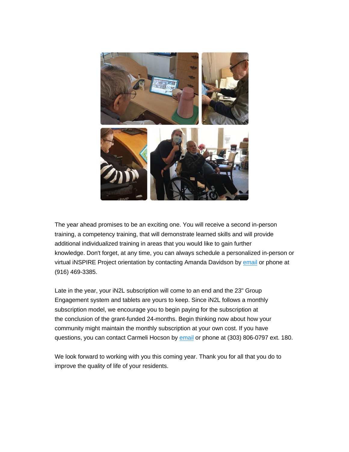

The year ahead promises to be an exciting one. You will receive a second in-person training, a competency training, that will demonstrate learned skills and will provide additional individualized training in areas that you would like to gain further knowledge. Don't forget, at any time, you can always schedule a personalized in-person or virtual INSPIRE Project orientation by contacting Amanda Davidson by [email](mailto:adavidson@leadingageca.org) or phone at (916) 469-3385.

Late in the year, your iN2L subscription will come to an end and the 23" Group Engagement system and tablets are yours to keep. Since iN2L follows a monthly subscription model, we encourage you to begin paying for the subscription at the conclusion of the grant-funded 24-months. Begin thinking now about how your community might maintain the monthly subscription at your own cost. If you have questions, you can contact Carmeli Hocson by [email](mailto:chocson@in2l.com) or phone at (303) 806-0797 ext. 180.

We look forward to working with you this coming year. Thank you for all that you do to improve the quality of life of your residents.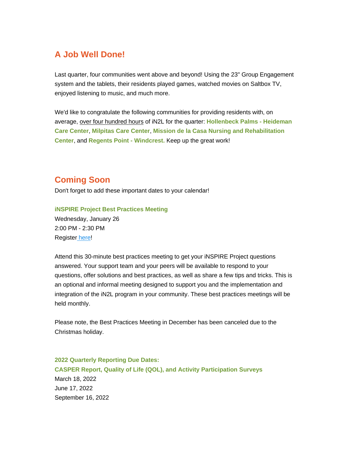## **A Job Well Done!**

Last quarter, four communities went above and beyond! Using the 23" Group Engagement system and the tablets, their residents played games, watched movies on Saltbox TV, enjoyed listening to music, and much more.

We'd like to congratulate the following communities for providing residents with, on average, over four hundred hours of iN2L for the quarter: **Hollenbeck Palms - Heideman Care Center**, **Milpitas Care Center**, **Mission de la Casa Nursing and Rehabilitation Center**, and **Regents Point - Windcrest.** Keep up the great work!

## **Coming Soon**

Don't forget to add these important dates to your calendar!

**iNSPIRE Project Best Practices Meeting**

Wednesday, January 26 2:00 PM - 2:30 PM Registe[r](https://nam11.safelinks.protection.outlook.com/?url=https%3A%2F%2Fu6486279.ct.sendgrid.net%2Fls%2Fclick%3Fupn%3DhxRT-2BaJEwPX7D4KE9buaoLcBV9zYwUqR4Zz6VT5aqkoE9V4zRvcdxsoj3HizFRFKmKjbYryMl02cBIwISUC34x1KS9Vav002KnAYGeCiHyqkX4CW9w3LlAIRB4QyPal9j0Tv_ynjBnrLOJw6JesCQaGcSU1U4FraFfNtAbtcdLdsaHlkBDiFVMUz2TmDV3khhnfdiNk2F-2BHi29Spr3KgAvp-2Bxk5fKwV1uOmS0gy7y1pyBYHxuklq9e9XFXAxQ0xuGI18gpUGn22Ga2wCg9FhxQyLT0PuJi-2FQa9d07c4X9TXuANGtHcbBRhgC1addACkOWlKOwMwouAr8d2O7bc5qTeiHa-2BjJezmrJohDM7WvkSjcfj-2FONLH3ncMltRrYJhx9FWhUV6EFEkdpbWuhiWCD0jJm2KyOeaCfP21w20PRyxm4XrFZSwWR5EOaWu-2BgtrOslu5lkr8oSzecSy-2BWjOFGXUaG-2FxmOeViaCWX7AYhywCXL70v54GaLYdn8Ty9M-2Fftzgcxuus6i-2F1NBeomx5295qKVMvRpnq43VZ0ng3hgRQpxlUqO3nsoCUyDAfzwtutg25eLtWdVeE41wcS7zkgDUDc1SybQ-3D-3D&data=04%7C01%7Cadavidson%40leadingageca.org%7C406b2a1516b241d09d5008d9c49bec36%7C0d860a7502b14b43954fe1205876f72f%7C0%7C0%7C637756996242028012%7CUnknown%7CTWFpbGZsb3d8eyJWIjoiMC4wLjAwMDAiLCJQIjoiV2luMzIiLCJBTiI6Ik1haWwiLCJXVCI6Mn0%3D%7C3000&sdata=OVckzBaVuQrcOs9R%2BQqAoSJ29uifzpeyEZG1xnMkUE0%3D&reserved=0) [here!](https://nam11.safelinks.protection.outlook.com/?url=https%3A%2F%2Fu6486279.ct.sendgrid.net%2Fls%2Fclick%3Fupn%3DhxRT-2BaJEwPX7D4KE9buaoLcBV9zYwUqR4Zz6VT5aqkoE9V4zRvcdxsoj3HizFRFKL-2F4wfIkflQp5k5K4qlE-2BDPPwVhKpwERV0d8eq4SfHol05s2UhhKRjHFFAFO8OLtjeY5z_ynjBnrLOJw6JesCQaGcSU1U4FraFfNtAbtcdLdsaHlkBDiFVMUz2TmDV3khhnfdiNk2F-2BHi29Spr3KgAvp-2Bxk5fKwV1uOmS0gy7y1pyBYHxuklq9e9XFXAxQ0xuGI18gpUGn22Ga2wCg9FhxQyLT0PuJi-2FQa9d07c4X9TXuANGtHcbBRhgC1addACkOWlKOwMwouAr8d2O7bc5qTeiHa-2BjJezmrJohDM7WvkSjcfj-2FONLH3ncMltRrYJhx9FWhUVa-2BpmKGU3J-2FDxZlHMGt495oCk2EQ1UefasNvu4o1QicKdTdh8d-2FpY9uMj3v5oWxnKjM-2BDOjhQ-2BnSjGdmA1zXXcMYieCIZjLXtM1Qcc6-2FTU6weOGMwQ-2FWMHabhNJruBylFK9VuakPD-2FDqdJFwNXMuRhbHUNL-2BTQ-2Bhz70UJNU1b7CldY3FP8-2FXOl47HTL80YjNVro2DWv7-2Be7poIWAVebO9QA-3D-3D&data=04%7C01%7Cadavidson%40leadingageca.org%7C406b2a1516b241d09d5008d9c49bec36%7C0d860a7502b14b43954fe1205876f72f%7C0%7C0%7C637756996242038011%7CUnknown%7CTWFpbGZsb3d8eyJWIjoiMC4wLjAwMDAiLCJQIjoiV2luMzIiLCJBTiI6Ik1haWwiLCJXVCI6Mn0%3D%7C3000&sdata=x70HVo8BW4U2sOOpNt7hpxXEC0OrtmazfDswX1DmHyw%3D&reserved=0)

Attend this 30-minute best practices meeting to get your iNSPIRE Project questions answered. Your support team and your peers will be available to respond to your questions, offer solutions and best practices, as well as share a few tips and tricks. This is an optional and informal meeting designed to support you and the implementation and integration of the iN2L program in your community. These best practices meetings will be held monthly.

Please note, the Best Practices Meeting in December has been canceled due to the Christmas holiday.

**2022 Quarterly Reporting Due Dates: CASPER Report, Quality of Life (QOL), and Activity Participation Surveys** March 18, 2022 June 17, 2022 September 16, 2022